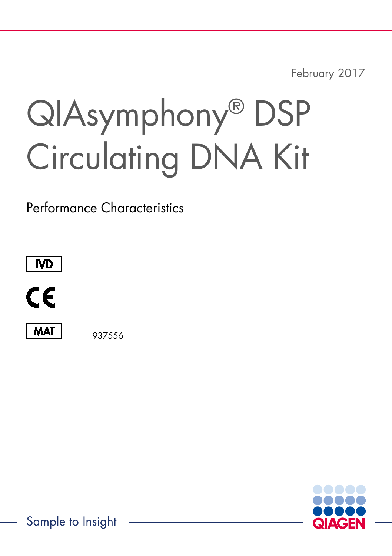February 2017

# QIAsymphony® DSP Circulating DNA Kit

Performance Characteristics





**MAT** 

937556



Sample to Insight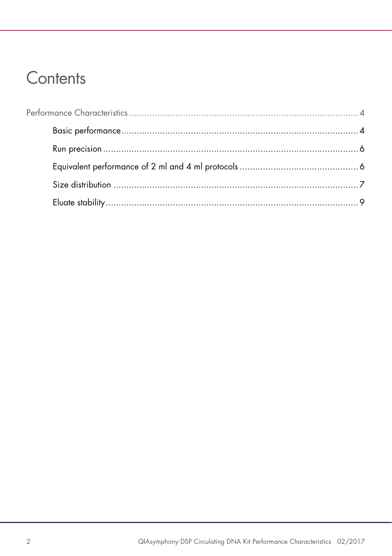# Contents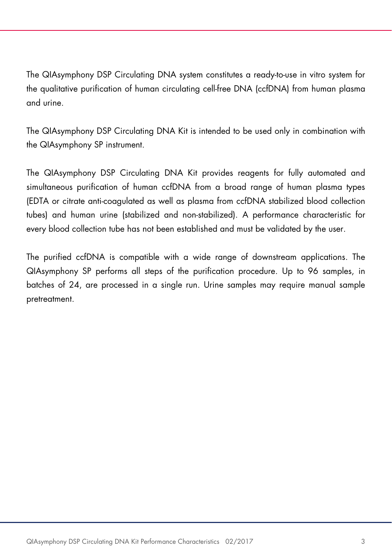The QIAsymphony DSP Circulating DNA system constitutes a ready-to-use in vitro system for the qualitative purification of human circulating cell-free DNA (ccfDNA) from human plasma and urine.

The QIAsymphony DSP Circulating DNA Kit is intended to be used only in combination with the QIAsymphony SP instrument.

The QIAsymphony DSP Circulating DNA Kit provides reagents for fully automated and simultaneous purification of human ccfDNA from a broad range of human plasma types (EDTA or citrate anti-coagulated as well as plasma from ccfDNA stabilized blood collection tubes) and human urine (stabilized and non-stabilized). A performance characteristic for every blood collection tube has not been established and must be validated by the user.

The purified ccfDNA is compatible with a wide range of downstream applications. The QIAsymphony SP performs all steps of the purification procedure. Up to 96 samples, in batches of 24, are processed in a single run. Urine samples may require manual sample pretreatment.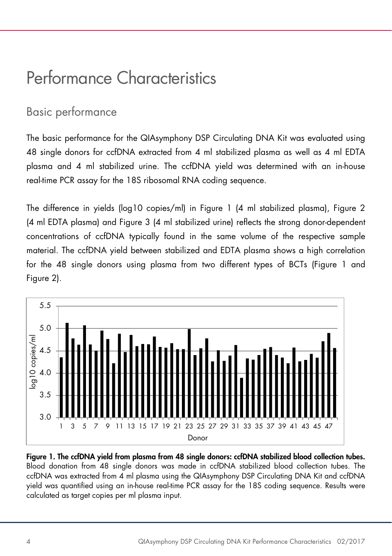# <span id="page-3-0"></span>Performance Characteristics

# <span id="page-3-1"></span>Basic performance

The basic performance for the QIAsymphony DSP Circulating DNA Kit was evaluated using 48 single donors for ccfDNA extracted from 4 ml stabilized plasma as well as 4 ml EDTA plasma and 4 ml stabilized urine. The ccfDNA yield was determined with an in-house real-time PCR assay for the 18S ribosomal RNA coding sequence.

The difference in yields (log10 copies/ml) in Figure 1 (4 ml stabilized plasma), Figure 2 (4 ml EDTA plasma) and Figure 3 (4 ml stabilized urine) reflects the strong donor-dependent concentrations of ccfDNA typically found in the same volume of the respective sample material. The ccfDNA yield between stabilized and EDTA plasma shows a high correlation for the 48 single donors using plasma from two different types of BCTs (Figure 1 and Figure 2).



Figure 1. The ccfDNA yield from plasma from 48 single donors: ccfDNA stabilized blood collection tubes. Blood donation from 48 single donors was made in ccfDNA stabilized blood collection tubes. The ccfDNA was extracted from 4 ml plasma using the QIAsymphony DSP Circulating DNA Kit and ccfDNA yield was quantified using an in-house real-time PCR assay for the 18S coding sequence. Results were calculated as target copies per ml plasma input.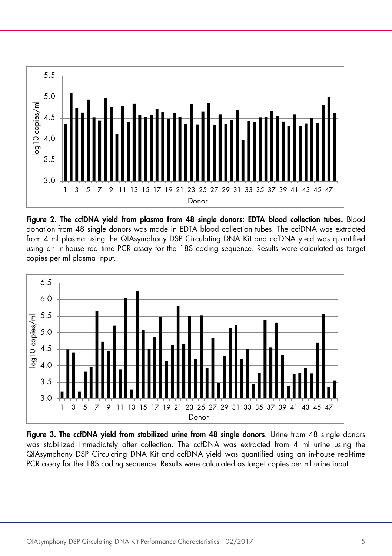

Figure 2. The ccfDNA yield from plasma from 48 single donors: EDTA blood collection tubes. Blood donation from 48 single donors was made in EDTA blood collection tubes. The ccfDNA was extracted from 4 ml plasma using the QIAsymphony DSP Circulating DNA Kit and ccfDNA yield was quantified using an in-house real-time PCR assay for the 18S coding sequence. Results were calculated as target copies per ml plasma input.



Figure 3. The ccfDNA yield from stabilized urine from 48 single donors. Urine from 48 single donors was stabilized immediately after collection. The ccfDNA was extracted from 4 ml urine using the QIAsymphony DSP Circulating DNA Kit and ccfDNA yield was quantified using an in-house real-time PCR assay for the 18S coding sequence. Results were calculated as target copies per ml urine input.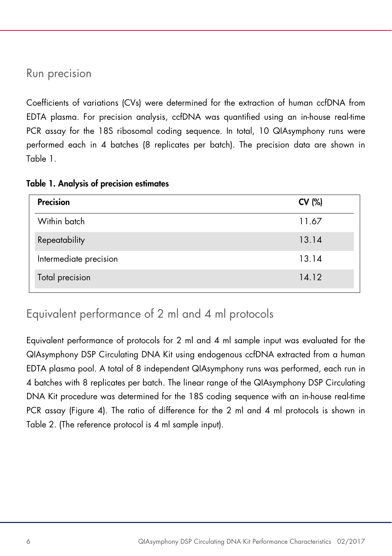#### <span id="page-5-0"></span>Run precision

Coefficients of variations (CVs) were determined for the extraction of human ccfDNA from EDTA plasma. For precision analysis, ccfDNA was quantified using an in-house real-time PCR assay for the 18S ribosomal coding sequence. In total, 10 QIAsymphony runs were performed each in 4 batches (8 replicates per batch). The precision data are shown in Table 1.

Table 1. Analysis of precision estimates

| Precision              | CV (%) |
|------------------------|--------|
| Within batch           | 11.67  |
| Repeatability          | 13.14  |
| Intermediate precision | 13.14  |
| Total precision        | 14.12  |

# <span id="page-5-1"></span>Equivalent performance of 2 ml and 4 ml protocols

Equivalent performance of protocols for 2 ml and 4 ml sample input was evaluated for the QIAsymphony DSP Circulating DNA Kit using endogenous ccfDNA extracted from a human EDTA plasma pool. A total of 8 independent QIAsymphony runs was performed, each run in 4 batches with 8 replicates per batch. The linear range of the QIAsymphony DSP Circulating DNA Kit procedure was determined for the 18S coding sequence with an in-house real-time PCR assay (Figure 4). The ratio of difference for the 2 ml and 4 ml protocols is shown in Table 2. (The reference protocol is 4 ml sample input).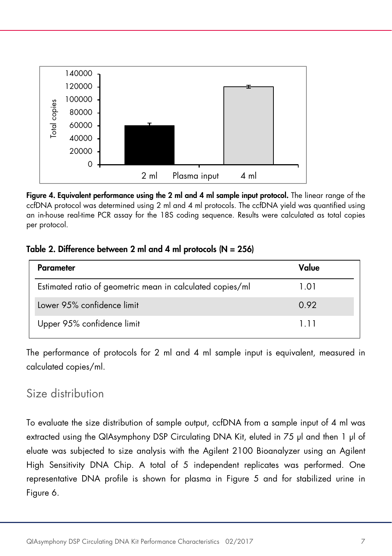

Figure 4. Equivalent performance using the 2 ml and 4 ml sample input protocol. The linear range of the ccfDNA protocol was determined using 2 ml and 4 ml protocols. The ccfDNA yield was quantified using an in-house real-time PCR assay for the 18S coding sequence. Results were calculated as total copies per protocol.

#### Table 2. Difference between 2 ml and 4 ml protocols (N = 256)

| Parameter                                                 | Value |
|-----------------------------------------------------------|-------|
| Estimated ratio of geometric mean in calculated copies/ml | 1.01  |
| Lower 95% confidence limit                                | 0.92  |
| Upper 95% confidence limit                                | 111   |

The performance of protocols for 2 ml and 4 ml sample input is equivalent, measured in calculated copies/ml.

# <span id="page-6-0"></span>Size distribution

To evaluate the size distribution of sample output, ccfDNA from a sample input of 4 ml was extracted using the QIAsymphony DSP Circulating DNA Kit, eluted in 75 µl and then 1 µl of eluate was subjected to size analysis with the Agilent 2100 Bioanalyzer using an Agilent High Sensitivity DNA Chip. A total of 5 independent replicates was performed. One representative DNA profile is shown for plasma in Figure 5 and for stabilized urine in Figure 6.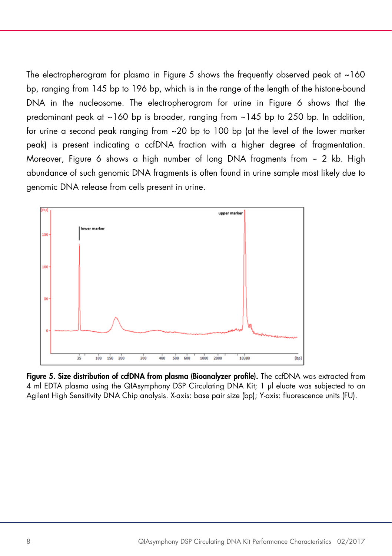The electropherogram for plasma in Figure 5 shows the frequently observed peak at  $\sim$ 160 bp, ranging from 145 bp to 196 bp, which is in the range of the length of the histone-bound DNA in the nucleosome. The electropherogram for urine in Figure 6 shows that the predominant peak at ~160 bp is broader, ranging from ~145 bp to 250 bp. In addition, for urine a second peak ranging from ~20 bp to 100 bp (at the level of the lower marker peak) is present indicating a ccfDNA fraction with a higher degree of fragmentation. Moreover, Figure 6 shows a high number of long DNA fragments from  $\sim$  2 kb. High abundance of such genomic DNA fragments is often found in urine sample most likely due to genomic DNA release from cells present in urine.



Fiaure 5. Size distribution of ccfDNA from plasma (Bioanalyzer profile). The ccfDNA was extracted from 4 ml EDTA plasma using the QIAsymphony DSP Circulating DNA Kit; 1 µl eluate was subjected to an Agilent High Sensitivity DNA Chip analysis. X-axis: base pair size (bp); Y-axis: fluorescence units (FU).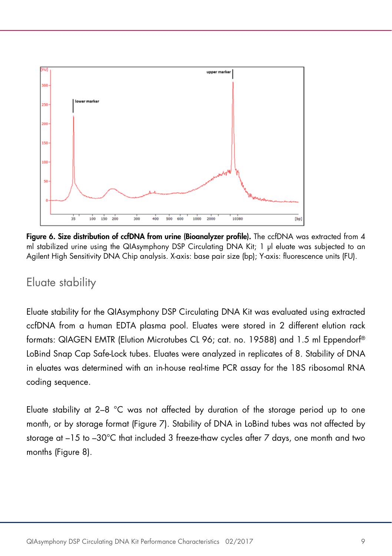

Figure 6. Size distribution of ccfDNA from urine (Bioanalyzer profile). The ccfDNA was extracted from 4 ml stabilized urine using the QIAsymphony DSP Circulating DNA Kit; 1 µl eluate was subjected to an Agilent High Sensitivity DNA Chip analysis. X-axis: base pair size (bp); Y-axis: fluorescence units (FU).

### <span id="page-8-0"></span>Eluate stability

Eluate stability for the QIAsymphony DSP Circulating DNA Kit was evaluated using extracted ccfDNA from a human EDTA plasma pool. Eluates were stored in 2 different elution rack formats: QIAGEN EMTR (Elution Microtubes CL 96; cat. no. 19588) and 1.5 ml Eppendorf® LoBind Snap Cap Safe-Lock tubes. Eluates were analyzed in replicates of 8. Stability of DNA in eluates was determined with an in-house real-time PCR assay for the 18S ribosomal RNA coding sequence.

Eluate stability at 2–8 °C was not affected by duration of the storage period up to one month, or by storage format (Figure 7). Stability of DNA in LoBind tubes was not affected by storage at –15 to –30°C that included 3 freeze-thaw cycles after 7 days, one month and two months (Figure 8).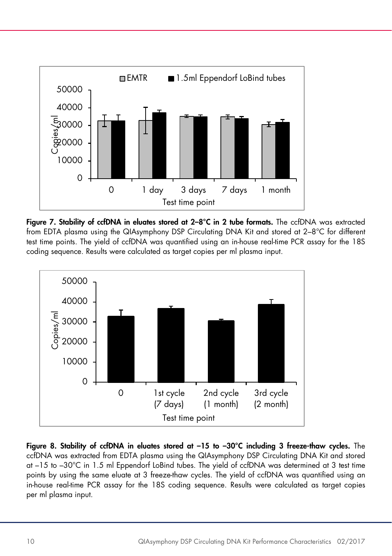

Figure 7. Stability of ccfDNA in eluates stored at 2-8°C in 2 tube formats. The ccfDNA was extracted from EDTA plasma using the QIAsymphony DSP Circulating DNA Kit and stored at 2–8°C for different test time points. The yield of ccfDNA was quantified using an in-house real-time PCR assay for the 18S coding sequence. Results were calculated as target copies per ml plasma input.



Figure 8. Stability of ccfDNA in eluates stored at –15 to –30°C including 3 freeze-thaw cycles. The ccfDNA was extracted from EDTA plasma using the QIAsymphony DSP Circulating DNA Kit and stored at –15 to –30°C in 1.5 ml Eppendorf LoBind tubes. The yield of ccfDNA was determined at 3 test time points by using the same eluate at 3 freeze-thaw cycles. The yield of ccfDNA was quantified using an in-house real-time PCR assay for the 18S coding sequence. Results were calculated as target copies per ml plasma input.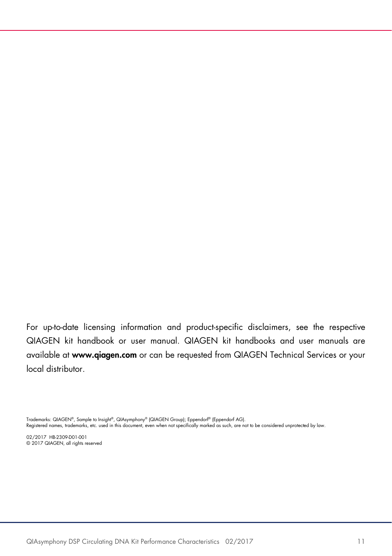For up-to-date licensing information and product-specific disclaimers, see the respective QIAGEN kit handbook or user manual. QIAGEN kit handbooks and user manuals are available at www.qiagen.com or can be requested from QIAGEN Technical Services or your local distributor.

Trademarks: QIAGEN®, Sample to Insight®, QIAsymphony® (QIAGEN Group); Eppendorf® (Eppendorf AG).

Registered names, trademarks, etc. used in this document, even when not specifically marked as such, are not to be considered unprotected by law.

02/2017 HB-2309-D01-001 © 2017 QIAGEN, all rights reserved